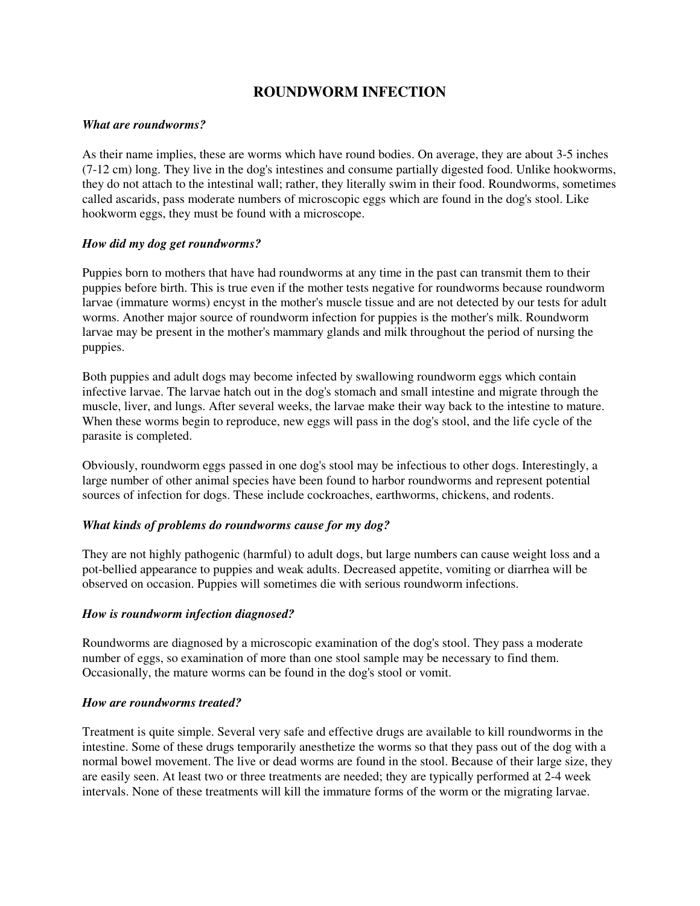# **ROUNDWORM INFECTION**

#### *What are roundworms?*

As their name implies, these are worms which have round bodies. On average, they are about 3-5 inches (7-12 cm) long. They live in the dog's intestines and consume partially digested food. Unlike hookworms, they do not attach to the intestinal wall; rather, they literally swim in their food. Roundworms, sometimes called ascarids, pass moderate numbers of microscopic eggs which are found in the dog's stool. Like hookworm eggs, they must be found with a microscope.

#### *How did my dog get roundworms?*

Puppies born to mothers that have had roundworms at any time in the past can transmit them to their puppies before birth. This is true even if the mother tests negative for roundworms because roundworm larvae (immature worms) encyst in the mother's muscle tissue and are not detected by our tests for adult worms. Another major source of roundworm infection for puppies is the mother's milk. Roundworm larvae may be present in the mother's mammary glands and milk throughout the period of nursing the puppies.

Both puppies and adult dogs may become infected by swallowing roundworm eggs which contain infective larvae. The larvae hatch out in the dog's stomach and small intestine and migrate through the muscle, liver, and lungs. After several weeks, the larvae make their way back to the intestine to mature. When these worms begin to reproduce, new eggs will pass in the dog's stool, and the life cycle of the parasite is completed.

Obviously, roundworm eggs passed in one dog's stool may be infectious to other dogs. Interestingly, a large number of other animal species have been found to harbor roundworms and represent potential sources of infection for dogs. These include cockroaches, earthworms, chickens, and rodents.

### *What kinds of problems do roundworms cause for my dog?*

They are not highly pathogenic (harmful) to adult dogs, but large numbers can cause weight loss and a pot-bellied appearance to puppies and weak adults. Decreased appetite, vomiting or diarrhea will be observed on occasion. Puppies will sometimes die with serious roundworm infections.

### *How is roundworm infection diagnosed?*

Roundworms are diagnosed by a microscopic examination of the dog's stool. They pass a moderate number of eggs, so examination of more than one stool sample may be necessary to find them. Occasionally, the mature worms can be found in the dog's stool or vomit.

#### *How are roundworms treated?*

Treatment is quite simple. Several very safe and effective drugs are available to kill roundworms in the intestine. Some of these drugs temporarily anesthetize the worms so that they pass out of the dog with a normal bowel movement. The live or dead worms are found in the stool. Because of their large size, they are easily seen. At least two or three treatments are needed; they are typically performed at 2-4 week intervals. None of these treatments will kill the immature forms of the worm or the migrating larvae.